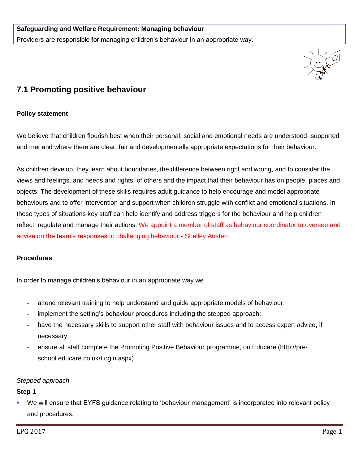

# **7.1 Promoting positive behaviour**

### **Policy statement**

We believe that children flourish best when their personal, social and emotional needs are understood, supported and met and where there are clear, fair and developmentally appropriate expectations for their behaviour.

As children develop, they learn about boundaries, the difference between right and wrong, and to consider the views and feelings, and needs and rights, of others and the impact that their behaviour has on people, places and objects. The development of these skills requires adult guidance to help encourage and model appropriate behaviours and to offer intervention and support when children struggle with conflict and emotional situations. In these types of situations key staff can help identify and address triggers for the behaviour and help children reflect, regulate and manage their actions. We appoint a member of staff as behaviour coordinator to oversee and advise on the team's responses to challenging behaviour.- Shelley Austen

### **Procedures**

In order to manage children's behaviour in an appropriate way we

- **-** attend relevant training to help understand and guide appropriate models of behaviour;
- **-** implement the setting's behaviour procedures including the stepped approach;
- **-** have the necessary skills to support other staff with behaviour issues and to access expert advice, if necessary;
- **-** ensure all staff complete the Promoting Positive Behaviour programme, on Educare (http://preschool.educare.co.uk/Login.aspx)

### *Stepped approach*

### **Step 1**

 We will ensure that EYFS guidance relating to 'behaviour management' is incorporated into relevant policy and procedures;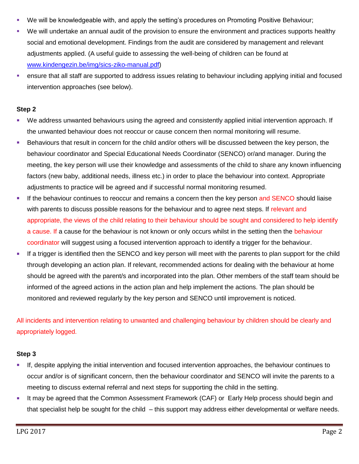- We will be knowledgeable with, and apply the setting's procedures on Promoting Positive Behaviour;
- We will undertake an annual audit of the provision to ensure the environment and practices supports healthy social and emotional development. Findings from the audit are considered by management and relevant adjustments applied. (A useful guide to assessing the well-being of children can be found at [www.kindengezin.be/img/sics-ziko-manual.pdf\)](http://www.kindengezin.be/img/sics-ziko-manual.pdf)
- ensure that all staff are supported to address issues relating to behaviour including applying initial and focused intervention approaches (see below).

## **Step 2**

- We address unwanted behaviours using the agreed and consistently applied initial intervention approach. If the unwanted behaviour does not reoccur or cause concern then normal monitoring will resume.
- Behaviours that result in concern for the child and/or others will be discussed between the key person, the behaviour coordinator and Special Educational Needs Coordinator (SENCO) or/and manager. During the meeting, the key person will use their knowledge and assessments of the child to share any known influencing factors (new baby, additional needs, illness etc.) in order to place the behaviour into context. Appropriate adjustments to practice will be agreed and if successful normal monitoring resumed.
- If the behaviour continues to reoccur and remains a concern then the key person and SENCO should liaise with parents to discuss possible reasons for the behaviour and to agree next steps. If relevant and appropriate, the views of the child relating to their behaviour should be sought and considered to help identify a cause. If a cause for the behaviour is not known or only occurs whilst in the setting then the behaviour coordinator will suggest using a focused intervention approach to identify a trigger for the behaviour.
- If a trigger is identified then the SENCO and key person will meet with the parents to plan support for the child through developing an action plan. If relevant, recommended actions for dealing with the behaviour at home should be agreed with the parent/s and incorporated into the plan. Other members of the staff team should be informed of the agreed actions in the action plan and help implement the actions. The plan should be monitored and reviewed regularly by the key person and SENCO until improvement is noticed.

All incidents and intervention relating to unwanted and challenging behaviour by children should be clearly and appropriately logged.

# **Step 3**

- If, despite applying the initial intervention and focused intervention approaches, the behaviour continues to occur and/or is of significant concern, then the behaviour coordinator and SENCO will invite the parents to a meeting to discuss external referral and next steps for supporting the child in the setting.
- It may be agreed that the Common Assessment Framework (CAF) or Early Help process should begin and that specialist help be sought for the child – this support may address either developmental or welfare needs.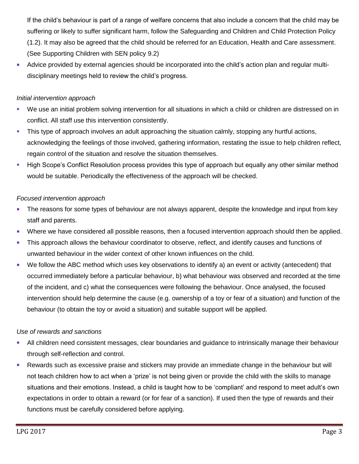If the child's behaviour is part of a range of welfare concerns that also include a concern that the child may be suffering or likely to suffer significant harm, follow the Safeguarding and Children and Child Protection Policy (1.2). It may also be agreed that the child should be referred for an Education, Health and Care assessment. (See Supporting Children with SEN policy 9.2)

 Advice provided by external agencies should be incorporated into the child's action plan and regular multidisciplinary meetings held to review the child's progress.

# *Initial intervention approach*

- We use an initial problem solving intervention for all situations in which a child or children are distressed on in conflict. All staff use this intervention consistently.
- This type of approach involves an adult approaching the situation calmly, stopping any hurtful actions, acknowledging the feelings of those involved, gathering information, restating the issue to help children reflect, regain control of the situation and resolve the situation themselves.
- High Scope's Conflict Resolution process provides this type of approach but equally any other similar method would be suitable. Periodically the effectiveness of the approach will be checked.

# *Focused intervention approach*

- The reasons for some types of behaviour are not always apparent, despite the knowledge and input from key staff and parents.
- Where we have considered all possible reasons, then a focused intervention approach should then be applied.
- This approach allows the behaviour coordinator to observe, reflect, and identify causes and functions of unwanted behaviour in the wider context of other known influences on the child.
- We follow the ABC method which uses key observations to identify a) an event or activity (antecedent) that occurred immediately before a particular behaviour, b) what behaviour was observed and recorded at the time of the incident, and c) what the consequences were following the behaviour. Once analysed, the focused intervention should help determine the cause (e.g. ownership of a toy or fear of a situation) and function of the behaviour (to obtain the toy or avoid a situation) and suitable support will be applied.

# *Use of rewards and sanctions*

- All children need consistent messages, clear boundaries and guidance to intrinsically manage their behaviour through self-reflection and control.
- Rewards such as excessive praise and stickers may provide an immediate change in the behaviour but will not teach children how to act when a 'prize' is not being given or provide the child with the skills to manage situations and their emotions. Instead, a child is taught how to be 'compliant' and respond to meet adult's own expectations in order to obtain a reward (or for fear of a sanction). If used then the type of rewards and their functions must be carefully considered before applying.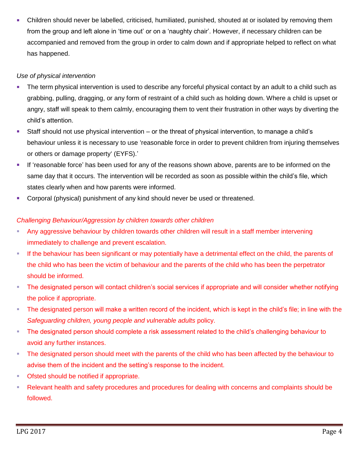Children should never be labelled, criticised, humiliated, punished, shouted at or isolated by removing them from the group and left alone in 'time out' or on a 'naughty chair'. However, if necessary children can be accompanied and removed from the group in order to calm down and if appropriate helped to reflect on what has happened.

# *Use of physical intervention*

- The term physical intervention is used to describe any forceful physical contact by an adult to a child such as grabbing, pulling, dragging, or any form of restraint of a child such as holding down. Where a child is upset or angry, staff will speak to them calmly, encouraging them to vent their frustration in other ways by diverting the child's attention.
- Staff should not use physical intervention or the threat of physical intervention, to manage a child's behaviour unless it is necessary to use 'reasonable force in order to prevent children from injuring themselves or others or damage property' (EYFS).'
- If 'reasonable force' has been used for any of the reasons shown above, parents are to be informed on the same day that it occurs. The intervention will be recorded as soon as possible within the child's file, which states clearly when and how parents were informed.
- Corporal (physical) punishment of any kind should never be used or threatened.

# *Challenging Behaviour/Aggression by children towards other children*

- Any aggressive behaviour by children towards other children will result in a staff member intervening immediately to challenge and prevent escalation.
- If the behaviour has been significant or may potentially have a detrimental effect on the child, the parents of the child who has been the victim of behaviour and the parents of the child who has been the perpetrator should be informed.
- The designated person will contact children's social services if appropriate and will consider whether notifying the police if appropriate.
- The designated person will make a written record of the incident, which is kept in the child's file; in line with the *Safeguarding children, young people and vulnerable adults* policy.
- The designated person should complete a risk assessment related to the child's challenging behaviour to avoid any further instances.
- The designated person should meet with the parents of the child who has been affected by the behaviour to advise them of the incident and the setting's response to the incident.
- Ofsted should be notified if appropriate.
- Relevant health and safety procedures and procedures for dealing with concerns and complaints should be followed.